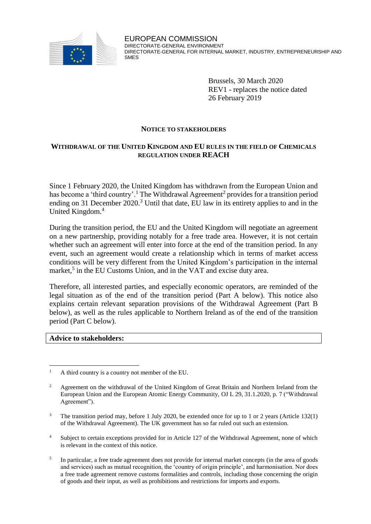

Brussels, 30 March 2020 REV1 - replaces the notice dated 26 February 2019

#### **NOTICE TO STAKEHOLDERS**

### **WITHDRAWAL OF THE UNITED KINGDOM AND EU RULES IN THE FIELD OF CHEMICALS REGULATION UNDER REACH**

Since 1 February 2020, the United Kingdom has withdrawn from the European Union and has become a 'third country'.<sup>1</sup> The Withdrawal Agreement<sup>2</sup> provides for a transition period ending on 31 December 2020.<sup>3</sup> Until that date, EU law in its entirety applies to and in the United Kingdom. 4

During the transition period, the EU and the United Kingdom will negotiate an agreement on a new partnership, providing notably for a free trade area. However, it is not certain whether such an agreement will enter into force at the end of the transition period. In any event, such an agreement would create a relationship which in terms of market access conditions will be very different from the United Kingdom's participation in the internal market,<sup>5</sup> in the EU Customs Union, and in the VAT and excise duty area.

Therefore, all interested parties, and especially economic operators, are reminded of the legal situation as of the end of the transition period (Part A below). This notice also explains certain relevant separation provisions of the Withdrawal Agreement (Part B below), as well as the rules applicable to Northern Ireland as of the end of the transition period (Part C below).

#### **Advice to stakeholders:**

- <sup>4</sup> Subject to certain exceptions provided for in Article 127 of the Withdrawal Agreement, none of which is relevant in the context of this notice.
- 5 In particular, a free trade agreement does not provide for internal market concepts (in the area of goods and services) such as mutual recognition, the 'country of origin principle', and harmonisation. Nor does a free trade agreement remove customs formalities and controls, including those concerning the origin of goods and their input, as well as prohibitions and restrictions for imports and exports.

 $\mathbf{1}$ <sup>1</sup> A third country is a country not member of the EU.

<sup>2</sup> Agreement on the withdrawal of the United Kingdom of Great Britain and Northern Ireland from the European Union and the European Atomic Energy Community, OJ L 29, 31.1.2020, p. 7 ("Withdrawal Agreement").

<sup>3</sup> The transition period may, before 1 July 2020, be extended once for up to 1 or 2 years (Article 132(1) of the Withdrawal Agreement). The UK government has so far ruled out such an extension.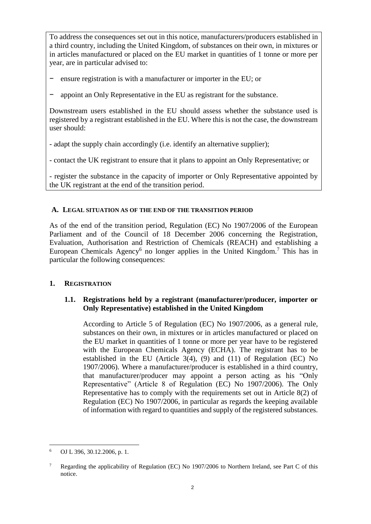To address the consequences set out in this notice, manufacturers/producers established in a third country, including the United Kingdom, of substances on their own, in mixtures or in articles manufactured or placed on the EU market in quantities of 1 tonne or more per year, are in particular advised to:

- ensure registration is with a manufacturer or importer in the EU; or
- appoint an Only Representative in the EU as registrant for the substance.

Downstream users established in the EU should assess whether the substance used is registered by a registrant established in the EU. Where this is not the case, the downstream user should:

- adapt the supply chain accordingly (i.e. identify an alternative supplier);

- contact the UK registrant to ensure that it plans to appoint an Only Representative; or

- register the substance in the capacity of importer or Only Representative appointed by the UK registrant at the end of the transition period.

# **A. LEGAL SITUATION AS OF THE END OF THE TRANSITION PERIOD**

As of the end of the transition period, Regulation (EC) No 1907/2006 of the European Parliament and of the Council of 18 December 2006 concerning the Registration, Evaluation, Authorisation and Restriction of Chemicals (REACH) and establishing a European Chemicals Agency<sup>6</sup> no longer applies in the United Kingdom.<sup>7</sup> This has in particular the following consequences:

# **1. REGISTRATION**

# **1.1. Registrations held by a registrant (manufacturer/producer, importer or Only Representative) established in the United Kingdom**

According to Article 5 of Regulation (EC) No 1907/2006, as a general rule, substances on their own, in mixtures or in articles manufactured or placed on the EU market in quantities of 1 tonne or more per year have to be registered with the European Chemicals Agency (ECHA). The registrant has to be established in the EU (Article 3(4), (9) and (11) of Regulation (EC) No 1907/2006). Where a manufacturer/producer is established in a third country, that manufacturer/producer may appoint a person acting as his "Only Representative" (Article 8 of Regulation (EC) No 1907/2006). The Only Representative has to comply with the requirements set out in Article 8(2) of Regulation (EC) No 1907/2006, in particular as regards the keeping available of information with regard to quantities and supply of the registered substances.

 $\overline{a}$ <sup>6</sup> OJ L 396, 30.12.2006, p. 1.

<sup>&</sup>lt;sup>7</sup> Regarding the applicability of Regulation (EC) No 1907/2006 to Northern Ireland, see Part C of this notice.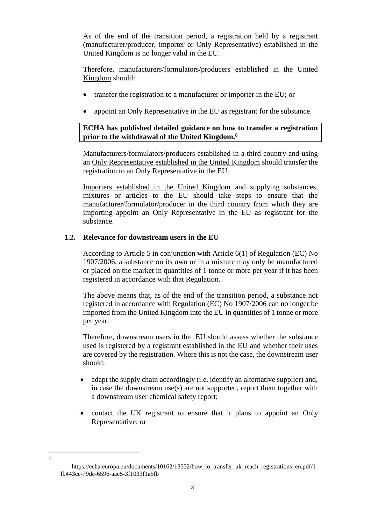As of the end of the transition period, a registration held by a registrant (manufacturer/producer, importer or Only Representative) established in the United Kingdom is no longer valid in the EU.

Therefore, manufacturers/formulators/producers established in the United Kingdom should:

- transfer the registration to a manufacturer or importer in the EU; or
- appoint an Only Representative in the EU as registrant for the substance.

### **ECHA has published detailed guidance on how to transfer a registration prior to the withdrawal of the United Kingdom.<sup>8</sup>**

Manufacturers/formulators/producers established in a third country and using an Only Representative established in the United Kingdom should transfer the registration to an Only Representative in the EU.

Importers established in the United Kingdom and supplying substances, mixtures or articles to the EU should take steps to ensure that the manufacturer/formulator/producer in the third country from which they are importing appoint an Only Representative in the EU as registrant for the substance.

### **1.2. Relevance for downstream users in the EU**

According to Article 5 in conjunction with Article 6(1) of Regulation (EC) No 1907/2006, a substance on its own or in a mixture may only be manufactured or placed on the market in quantities of 1 tonne or more per year if it has been registered in accordance with that Regulation.

The above means that, as of the end of the transition period, a substance not registered in accordance with Regulation (EC) No 1907/2006 can no longer be imported from the United Kingdom into the EU in quantities of 1 tonne or more per year.

Therefore, downstream users in the EU should assess whether the substance used is registered by a registrant established in the EU and whether their uses are covered by the registration. Where this is not the case, the downstream user should:

- adapt the supply chain accordingly (i.e. identify an alternative supplier) and, in case the downstream use(s) are not supported, report them together with a downstream user chemical safety report;
- contact the UK registrant to ensure that it plans to appoint an Only Representative; or

 $\overline{a}$ 8

https://echa.europa.eu/documents/10162/13552/how to transfer uk reach registrations en.pdf/1 fb443ce-79de-6596-aae5-3f1033f1a5fb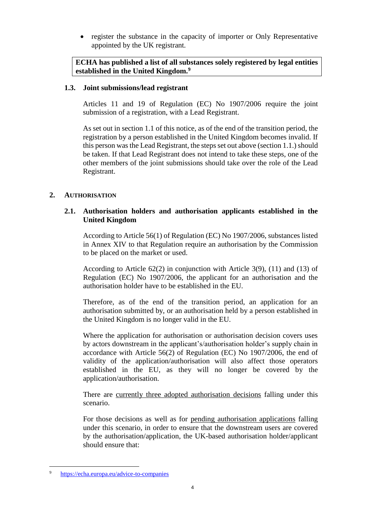• register the substance in the capacity of importer or Only Representative appointed by the UK registrant.

**ECHA has published a list of all substances solely registered by legal entities established in the United Kingdom.<sup>9</sup>**

# **1.3. Joint submissions/lead registrant**

Articles 11 and 19 of Regulation (EC) No 1907/2006 require the joint submission of a registration, with a Lead Registrant.

As set out in section 1.1 of this notice, as of the end of the transition period, the registration by a person established in the United Kingdom becomes invalid. If this person was the Lead Registrant, the steps set out above (section 1.1.) should be taken. If that Lead Registrant does not intend to take these steps, one of the other members of the joint submissions should take over the role of the Lead Registrant.

# **2. AUTHORISATION**

# **2.1. Authorisation holders and authorisation applicants established in the United Kingdom**

According to Article 56(1) of Regulation (EC) No 1907/2006, substances listed in Annex XIV to that Regulation require an authorisation by the Commission to be placed on the market or used.

According to Article 62(2) in conjunction with Article 3(9), (11) and (13) of Regulation (EC) No 1907/2006, the applicant for an authorisation and the authorisation holder have to be established in the EU.

Therefore, as of the end of the transition period, an application for an authorisation submitted by, or an authorisation held by a person established in the United Kingdom is no longer valid in the EU.

Where the application for authorisation or authorisation decision covers uses by actors downstream in the applicant's/authorisation holder's supply chain in accordance with Article 56(2) of Regulation (EC) No 1907/2006, the end of validity of the application/authorisation will also affect those operators established in the EU, as they will no longer be covered by the application/authorisation.

There are currently three adopted authorisation decisions falling under this scenario.

For those decisions as well as for pending authorisation applications falling under this scenario, in order to ensure that the downstream users are covered by the authorisation/application, the UK-based authorisation holder/applicant should ensure that:

 $\overline{a}$ <sup>9</sup> <https://echa.europa.eu/advice-to-companies>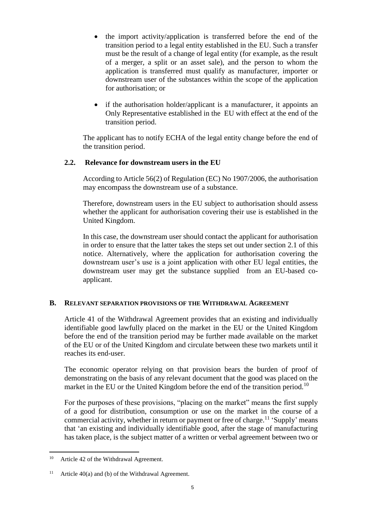- the import activity/application is transferred before the end of the transition period to a legal entity established in the EU. Such a transfer must be the result of a change of legal entity (for example, as the result of a merger, a split or an asset sale), and the person to whom the application is transferred must qualify as manufacturer, importer or downstream user of the substances within the scope of the application for authorisation; or
- if the authorisation holder/applicant is a manufacturer, it appoints an Only Representative established in the EU with effect at the end of the transition period.

The applicant has to notify ECHA of the legal entity change before the end of the transition period.

# **2.2. Relevance for downstream users in the EU**

According to Article 56(2) of Regulation (EC) No 1907/2006, the authorisation may encompass the downstream use of a substance.

Therefore, downstream users in the EU subject to authorisation should assess whether the applicant for authorisation covering their use is established in the United Kingdom.

In this case, the downstream user should contact the applicant for authorisation in order to ensure that the latter takes the steps set out under section 2.1 of this notice. Alternatively, where the application for authorisation covering the downstream user's use is a joint application with other EU legal entities, the downstream user may get the substance supplied from an EU-based coapplicant.

# **B. RELEVANT SEPARATION PROVISIONS OF THE WITHDRAWAL AGREEMENT**

Article 41 of the Withdrawal Agreement provides that an existing and individually identifiable good lawfully placed on the market in the EU or the United Kingdom before the end of the transition period may be further made available on the market of the EU or of the United Kingdom and circulate between these two markets until it reaches its end-user.

The economic operator relying on that provision bears the burden of proof of demonstrating on the basis of any relevant document that the good was placed on the market in the EU or the United Kingdom before the end of the transition period.<sup>10</sup>

For the purposes of these provisions, "placing on the market" means the first supply of a good for distribution, consumption or use on the market in the course of a commercial activity, whether in return or payment or free of charge.<sup>11</sup> 'Supply' means that 'an existing and individually identifiable good, after the stage of manufacturing has taken place, is the subject matter of a written or verbal agreement between two or

 $\overline{a}$ <sup>10</sup> Article 42 of the Withdrawal Agreement.

<sup>&</sup>lt;sup>11</sup> Article 40(a) and (b) of the Withdrawal Agreement.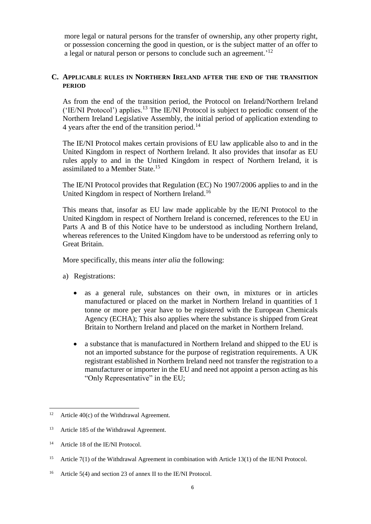more legal or natural persons for the transfer of ownership, any other property right, or possession concerning the good in question, or is the subject matter of an offer to a legal or natural person or persons to conclude such an agreement.<sup>'12</sup>

### **C. APPLICABLE RULES IN NORTHERN IRELAND AFTER THE END OF THE TRANSITION PERIOD**

As from the end of the transition period, the Protocol on Ireland/Northern Ireland ('IE/NI Protocol') applies.<sup>13</sup> The IE/NI Protocol is subject to periodic consent of the Northern Ireland Legislative Assembly, the initial period of application extending to 4 years after the end of the transition period.<sup>14</sup>

The IE/NI Protocol makes certain provisions of EU law applicable also to and in the United Kingdom in respect of Northern Ireland. It also provides that insofar as EU rules apply to and in the United Kingdom in respect of Northern Ireland, it is assimilated to a Member State.<sup>15</sup>

The IE/NI Protocol provides that Regulation (EC) No 1907/2006 applies to and in the United Kingdom in respect of Northern Ireland.<sup>16</sup>

This means that, insofar as EU law made applicable by the IE/NI Protocol to the United Kingdom in respect of Northern Ireland is concerned, references to the EU in Parts A and B of this Notice have to be understood as including Northern Ireland, whereas references to the United Kingdom have to be understood as referring only to Great Britain.

More specifically, this means *inter alia* the following:

- a) Registrations:
	- as a general rule, substances on their own, in mixtures or in articles manufactured or placed on the market in Northern Ireland in quantities of 1 tonne or more per year have to be registered with the European Chemicals Agency (ECHA); This also applies where the substance is shipped from Great Britain to Northern Ireland and placed on the market in Northern Ireland.
	- a substance that is manufactured in Northern Ireland and shipped to the EU is not an imported substance for the purpose of registration requirements. A UK registrant established in Northern Ireland need not transfer the registration to a manufacturer or importer in the EU and need not appoint a person acting as his "Only Representative" in the EU;

<sup>&</sup>lt;sup>12</sup> Article 40(c) of the Withdrawal Agreement.

<sup>&</sup>lt;sup>13</sup> Article 185 of the Withdrawal Agreement.

<sup>&</sup>lt;sup>14</sup> Article 18 of the IE/NI Protocol.

<sup>&</sup>lt;sup>15</sup> Article 7(1) of the Withdrawal Agreement in combination with Article 13(1) of the IE/NI Protocol.

<sup>&</sup>lt;sup>16</sup> Article 5(4) and section 23 of annex II to the IE/NI Protocol.